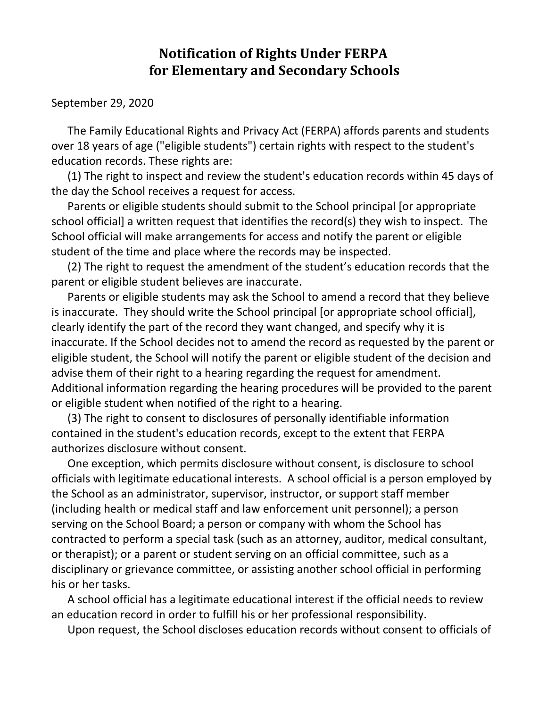## **Notification of Rights Under FERPA for Elementary and Secondary Schools**

September 29, 2020

The Family Educational Rights and Privacy Act (FERPA) affords parents and students over 18 years of age ("eligible students") certain rights with respect to the student's education records. These rights are:

(1) The right to inspect and review the student's education records within 45 days of the day the School receives a request for access.

Parents or eligible students should submit to the School principal [or appropriate school official] a written request that identifies the record(s) they wish to inspect. The School official will make arrangements for access and notify the parent or eligible student of the time and place where the records may be inspected.

(2) The right to request the amendment of the student's education records that the parent or eligible student believes are inaccurate.

Parents or eligible students may ask the School to amend a record that they believe is inaccurate. They should write the School principal [or appropriate school official], clearly identify the part of the record they want changed, and specify why it is inaccurate. If the School decides not to amend the record as requested by the parent or eligible student, the School will notify the parent or eligible student of the decision and advise them of their right to a hearing regarding the request for amendment. Additional information regarding the hearing procedures will be provided to the parent or eligible student when notified of the right to a hearing.

(3) The right to consent to disclosures of personally identifiable information contained in the student's education records, except to the extent that FERPA authorizes disclosure without consent.

One exception, which permits disclosure without consent, is disclosure to school officials with legitimate educational interests. A school official is a person employed by the School as an administrator, supervisor, instructor, or support staff member (including health or medical staff and law enforcement unit personnel); a person serving on the School Board; a person or company with whom the School has contracted to perform a special task (such as an attorney, auditor, medical consultant, or therapist); or a parent or student serving on an official committee, such as a disciplinary or grievance committee, or assisting another school official in performing his or her tasks.

A school official has a legitimate educational interest if the official needs to review an education record in order to fulfill his or her professional responsibility.

Upon request, the School discloses education records without consent to officials of